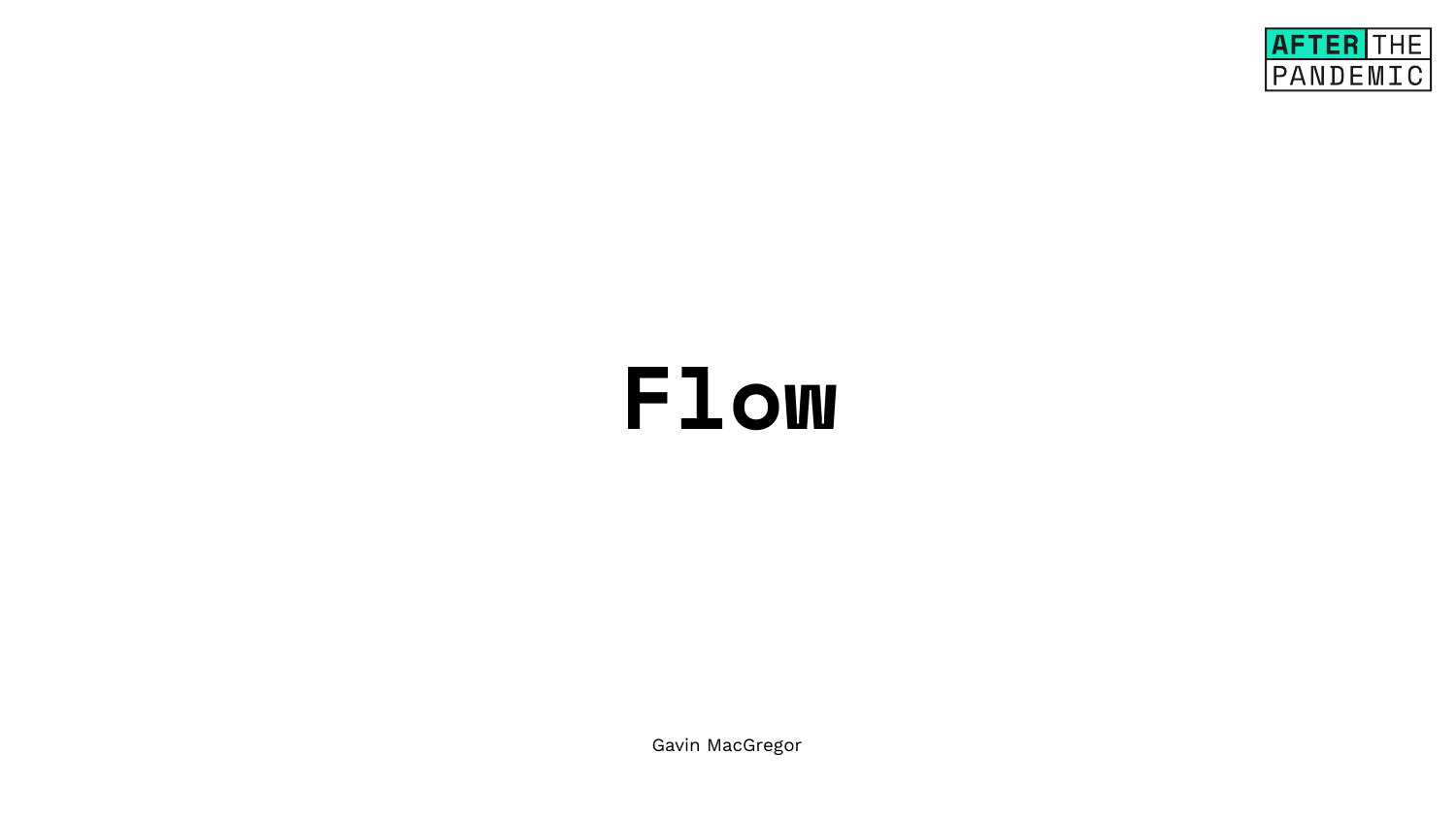## **Flow**

Gavin MacGregor

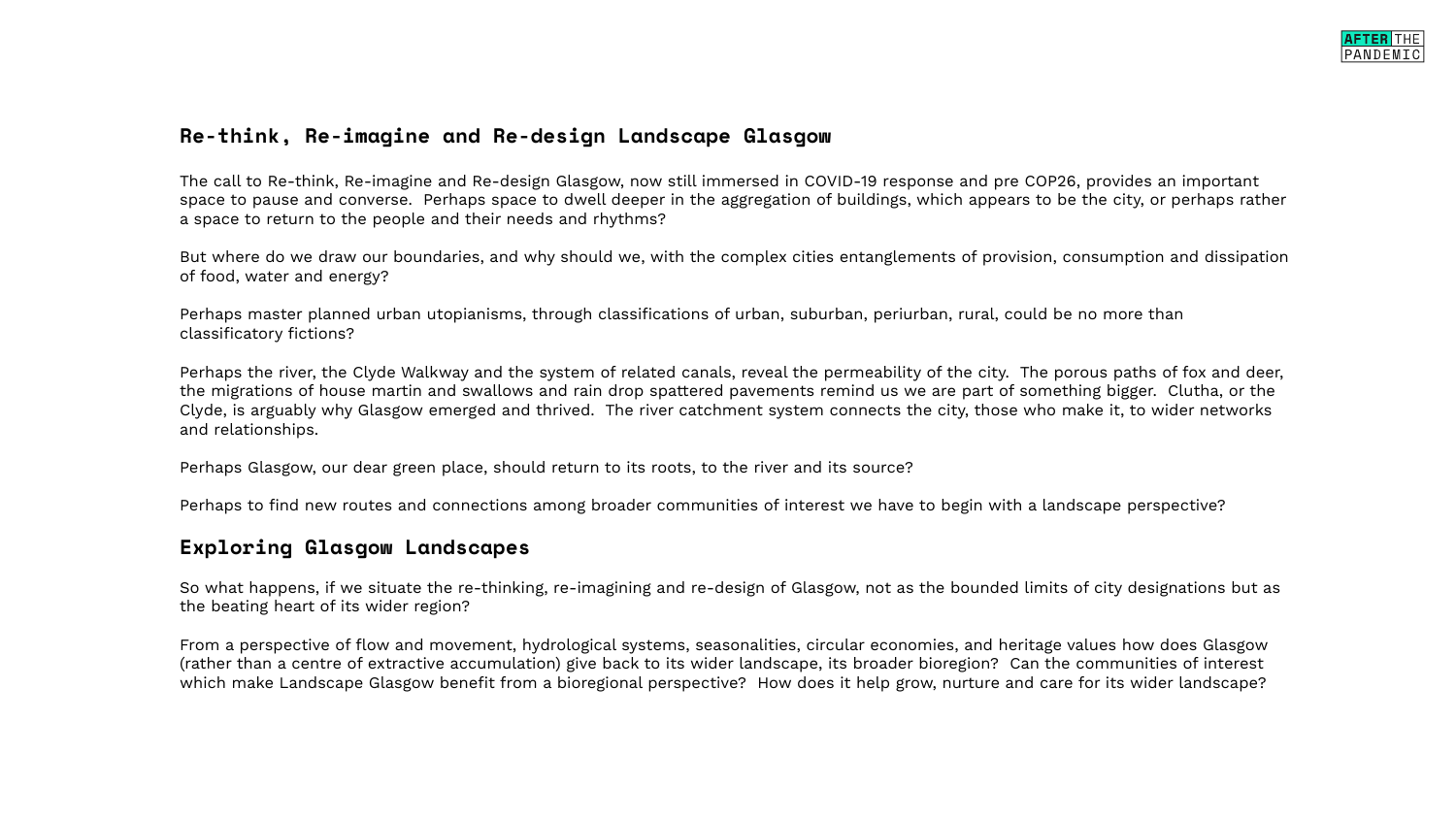## **Re-think, Re-imagine and Re-design Landscape Glasgow**

The call to Re-think, Re-imagine and Re-design Glasgow, now still immersed in COVID-19 response and pre COP26, provides an important space to pause and converse. Perhaps space to dwell deeper in the aggregation of buildings, which appears to be the city, or perhaps rather a space to return to the people and their needs and rhythms?

But where do we draw our boundaries, and why should we, with the complex cities entanglements of provision, consumption and dissipation of food, water and energy?

Perhaps master planned urban utopianisms, through classifications of urban, suburban, periurban, rural, could be no more than classificatory fictions?

Perhaps the river, the Clyde Walkway and the system of related canals, reveal the permeability of the city. The porous paths of fox and deer, the migrations of house martin and swallows and rain drop spattered pavements remind us we are part of something bigger. Clutha, or the Clyde, is arguably why Glasgow emerged and thrived. The river catchment system connects the city, those who make it, to wider networks and relationships.

Perhaps Glasgow, our dear green place, should return to its roots, to the river and its source?

Perhaps to find new routes and connections among broader communities of interest we have to begin with a landscape perspective?

## **Exploring Glasgow Landscapes**

So what happens, if we situate the re-thinking, re-imagining and re-design of Glasgow, not as the bounded limits of city designations but as the beating heart of its wider region?

From a perspective of flow and movement, hydrological systems, seasonalities, circular economies, and heritage values how does Glasgow (rather than a centre of extractive accumulation) give back to its wider landscape, its broader bioregion? Can the communities of interest which make Landscape Glasgow benefit from a bioregional perspective? How does it help grow, nurture and care for its wider landscape?

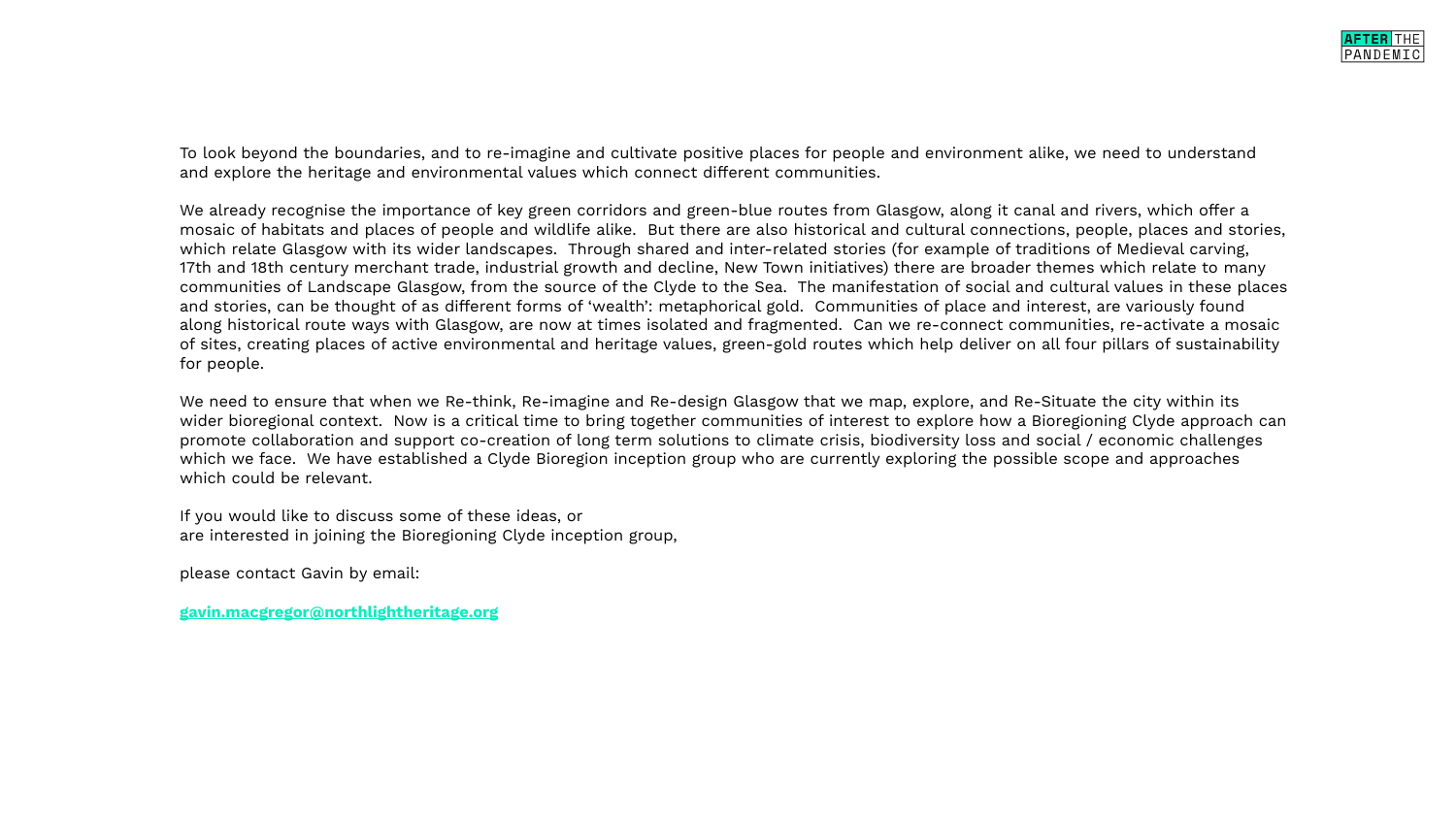To look beyond the boundaries, and to re-imagine and cultivate positive places for people and environment alike, we need to understand and explore the heritage and environmental values which connect different communities.

We already recognise the importance of key green corridors and green-blue routes from Glasgow, along it canal and rivers, which offer a mosaic of habitats and places of people and wildlife alike. But there are also historical and cultural connections, people, places and stories, which relate Glasgow with its wider landscapes. Through shared and inter-related stories (for example of traditions of Medieval carving, 17th and 18th century merchant trade, industrial growth and decline, New Town initiatives) there are broader themes which relate to many communities of Landscape Glasgow, from the source of the Clyde to the Sea. The manifestation of social and cultural values in these places and stories, can be thought of as different forms of 'wealth': metaphorical gold. Communities of place and interest, are variously found along historical route ways with Glasgow, are now at times isolated and fragmented. Can we re-connect communities, re-activate a mosaic of sites, creating places of active environmental and heritage values, green-gold routes which help deliver on all four pillars of sustainability for people.

We need to ensure that when we Re-think, Re-imagine and Re-design Glasgow that we map, explore, and Re-Situate the city within its wider bioregional context. Now is a critical time to bring together communities of interest to explore how a Bioregioning Clyde approach can promote collaboration and support co-creation of long term solutions to climate crisis, biodiversity loss and social / economic challenges which we face. We have established a Clyde Bioregion inception group who are currently exploring the possible scope and approaches which could be relevant.

If you would like to discuss some of these ideas, or are interested in joining the Bioregioning Clyde inception group,

please contact Gavin by email:

**[gavin.macgregor@northlightheritage.org](mailto:gavin.macgregor%40northlightheritage.org?subject=)**